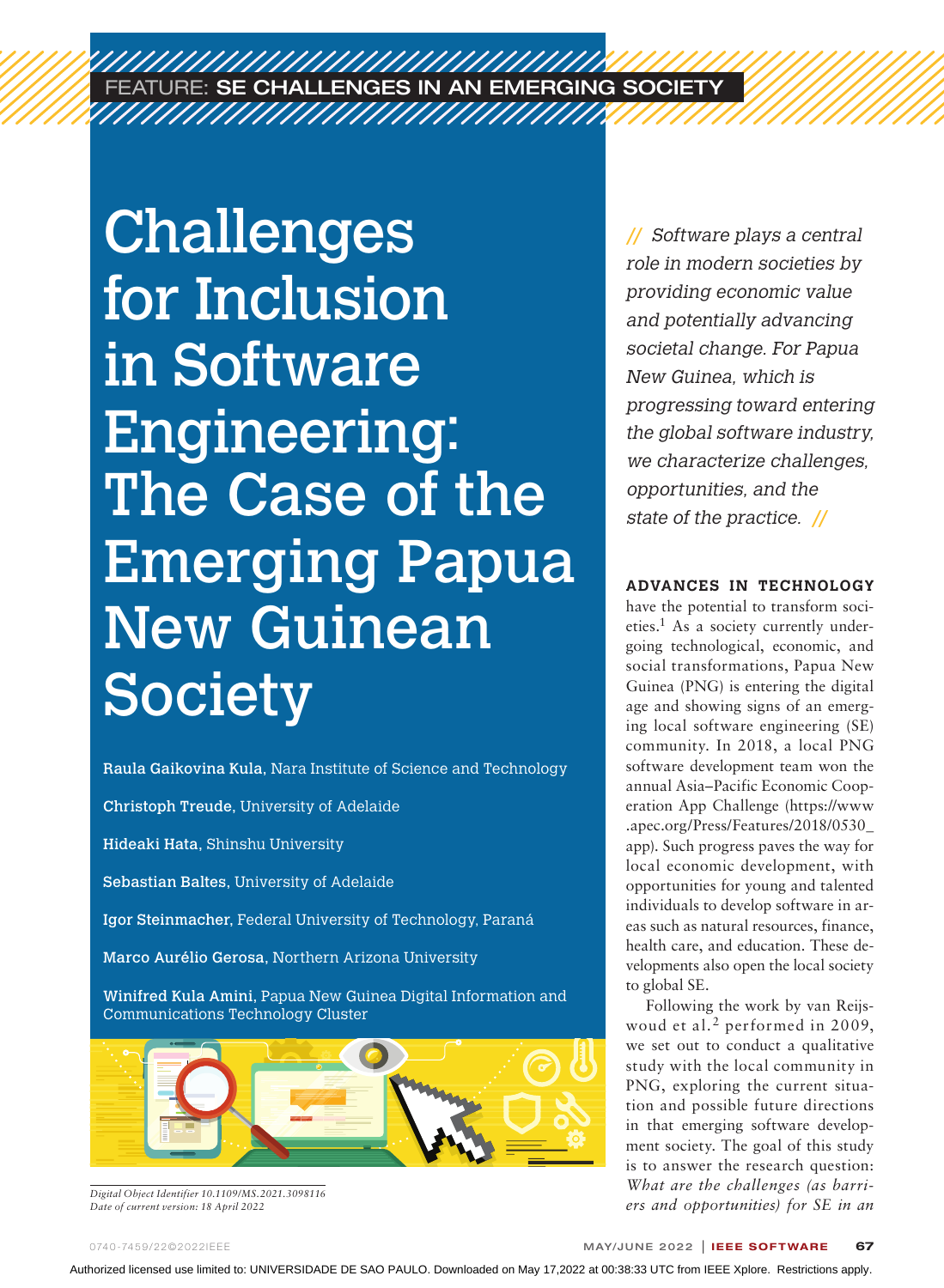# FEATURE: SE CHALLENGES IN AN EMERGING SOCIETY

Challenges for Inclusion in Software Engineering: The Case of the Emerging Papua New Guinean **Society** 

Raula Gaikovina Kula, Nara Institute of Science and Technology

Christoph Treude, University of Adelaide

Hideaki Hata, Shinshu University

Sebastian Baltes, University of Adelaide

Igor Steinmacher, Federal University of Technology, Paraná

Marco Aurélio Gerosa, Northern Arizona University

Winifred Kula Amini, Papua New Guinea Digital Information and Communications Technology Cluster



*Digital Object Identifier 10.1109/MS.2021.3098116 Date of current version: 18 April 2022*

**//** Software plays a central role in modern societies by providing economic value and potentially advancing societal change. For Papua New Guinea, which is progressing toward entering the global software industry, we characterize challenges, opportunities, and the state of the practice. **//**

## **ADVANCES IN TECHNOLOGY**

have the potential to transform societies.1 As a society currently undergoing technological, economic, and social transformations, Papua New Guinea (PNG) is entering the digital age and showing signs of an emerging local software engineering (SE) community. In 2018, a local PNG software development team won the annual Asia–Pacific Economic Cooperation App Challenge (https://www .apec.org/Press/Features/2018/0530\_ app). Such progress paves the way for local economic development, with opportunities for young and talented individuals to develop software in areas such as natural resources, finance, health care, and education. These developments also open the local society to global SE.

Following the work by van Reijswoud et al.2 performed in 2009, we set out to conduct a qualitative study with the local community in PNG, exploring the current situation and possible future directions in that emerging software development society. The goal of this study is to answer the research question: *What are the challenges (as barriers and opportunities) for SE in an*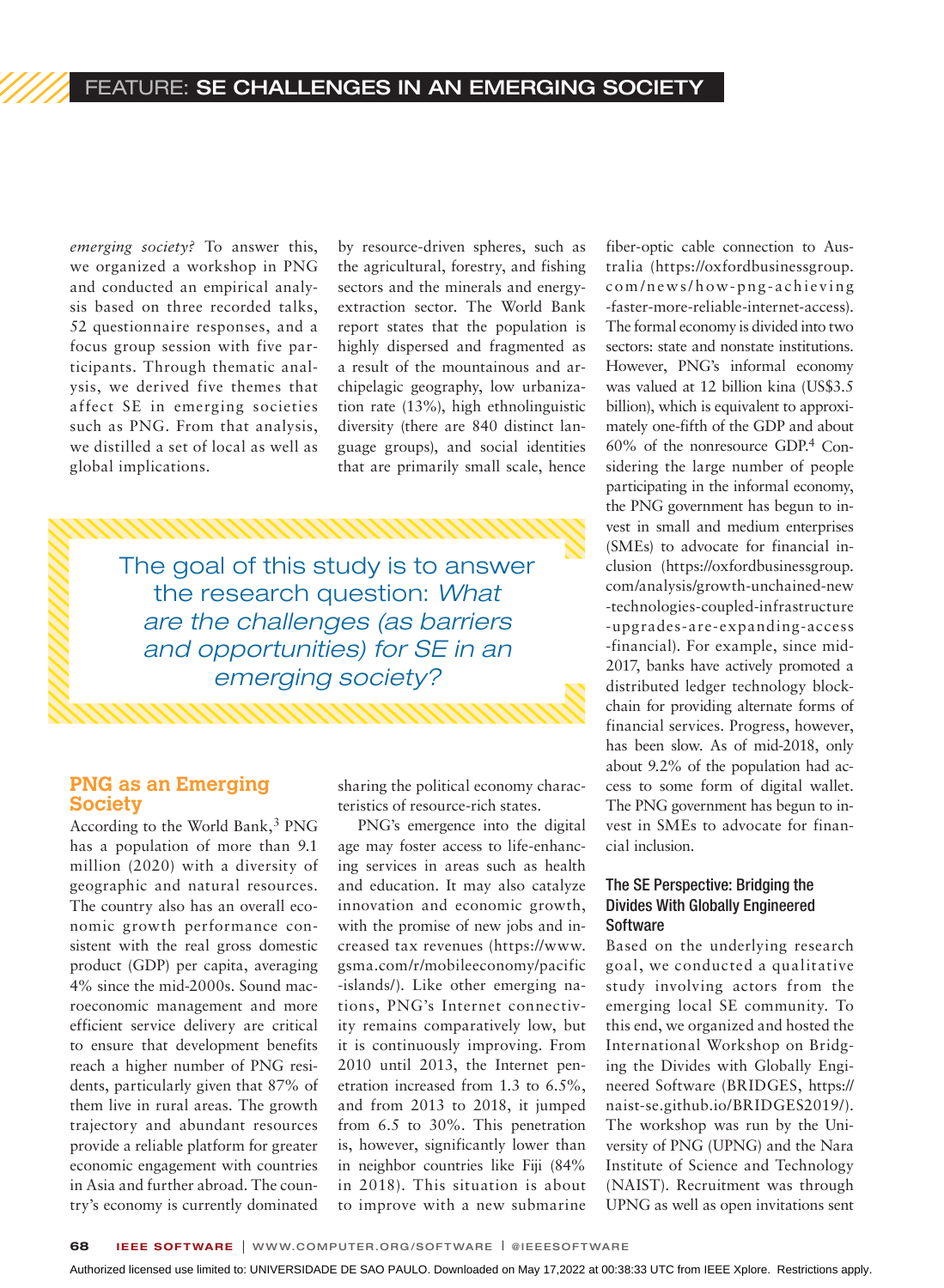*emerging society?* To answer this, we organized a workshop in PNG and conducted an empirical analysis based on three recorded talks, 52 questionnaire responses, and a focus group session with five participants. Through thematic analysis, we derived five themes that affect SE in emerging societies such as PNG. From that analysis, we distilled a set of local as well as global implications.

by resource-driven spheres, such as the agricultural, forestry, and fishing sectors and the minerals and energyextraction sector. The World Bank report states that the population is highly dispersed and fragmented as a result of the mountainous and archipelagic geography, low urbanization rate (13%), high ethnolinguistic diversity (there are 840 distinct language groups), and social identities that are primarily small scale, hence

The goal of this study is to answer the research question: *What are the challenges (as barriers and opportunities) for SE in an emerging society?*

#### **PNG as an Emerging Society**

According to the World Bank,<sup>3</sup> PNG has a population of more than 9.1 million (2020) with a diversity of geographic and natural resources. The country also has an overall economic growth performance consistent with the real gross domestic product (GDP) per capita, averaging 4% since the mid-2000s. Sound macroeconomic management and more efficient service delivery are critical to ensure that development benefits reach a higher number of PNG residents, particularly given that 87% of them live in rural areas. The growth trajectory and abundant resources provide a reliable platform for greater economic engagement with countries in Asia and further abroad. The country's economy is currently dominated

sharing the political economy characteristics of resource-rich states.

PNG's emergence into the digital age may foster access to life-enhancing services in areas such as health and education. It may also catalyze innovation and economic growth, with the promise of new jobs and increased tax revenues (https://www. gsma.com/r/mobileeconomy/pacific -islands/). Like other emerging nations, PNG's Internet connectivity remains comparatively low, but it is continuously improving. From 2010 until 2013, the Internet penetration increased from 1.3 to 6.5%, and from 2013 to 2018, it jumped from 6.5 to 30%. This penetration is, however, significantly lower than in neighbor countries like Fiji (84% in 2018). This situation is about to improve with a new submarine

fiber-optic cable connection to Australia (https://oxfordbusinessgroup. com/news/how-png-achieving -faster-more-reliable-internet-access). The formal economy is divided into two sectors: state and nonstate institutions. However, PNG's informal economy was valued at 12 billion kina (US\$3.5 billion), which is equivalent to approximately one-fifth of the GDP and about 60% of the nonresource GDP.4 Considering the large number of people participating in the informal economy, the PNG government has begun to invest in small and medium enterprises (SMEs) to advocate for financial inclusion (https://oxfordbusinessgroup. com/analysis/growth-unchained-new -technologies-coupled-infrastructure -upgrades-are-expanding-access -financial). For example, since mid-2017, banks have actively promoted a distributed ledger technology blockchain for providing alternate forms of financial services. Progress, however, has been slow. As of mid-2018, only about 9.2% of the population had access to some form of digital wallet. The PNG government has begun to invest in SMEs to advocate for financial inclusion.

#### The SE Perspective: Bridging the Divides With Globally Engineered **Software**

Based on the underlying research goal, we conducted a qualitative study involving actors from the emerging local SE community. To this end, we organized and hosted the International Workshop on Bridging the Divides with Globally Engineered Software (BRIDGES, https:// naist-se.github.io/BRIDGES2019/). The workshop was run by the University of PNG (UPNG) and the Nara Institute of Science and Technology (NAIST). Recruitment was through UPNG as well as open invitations sent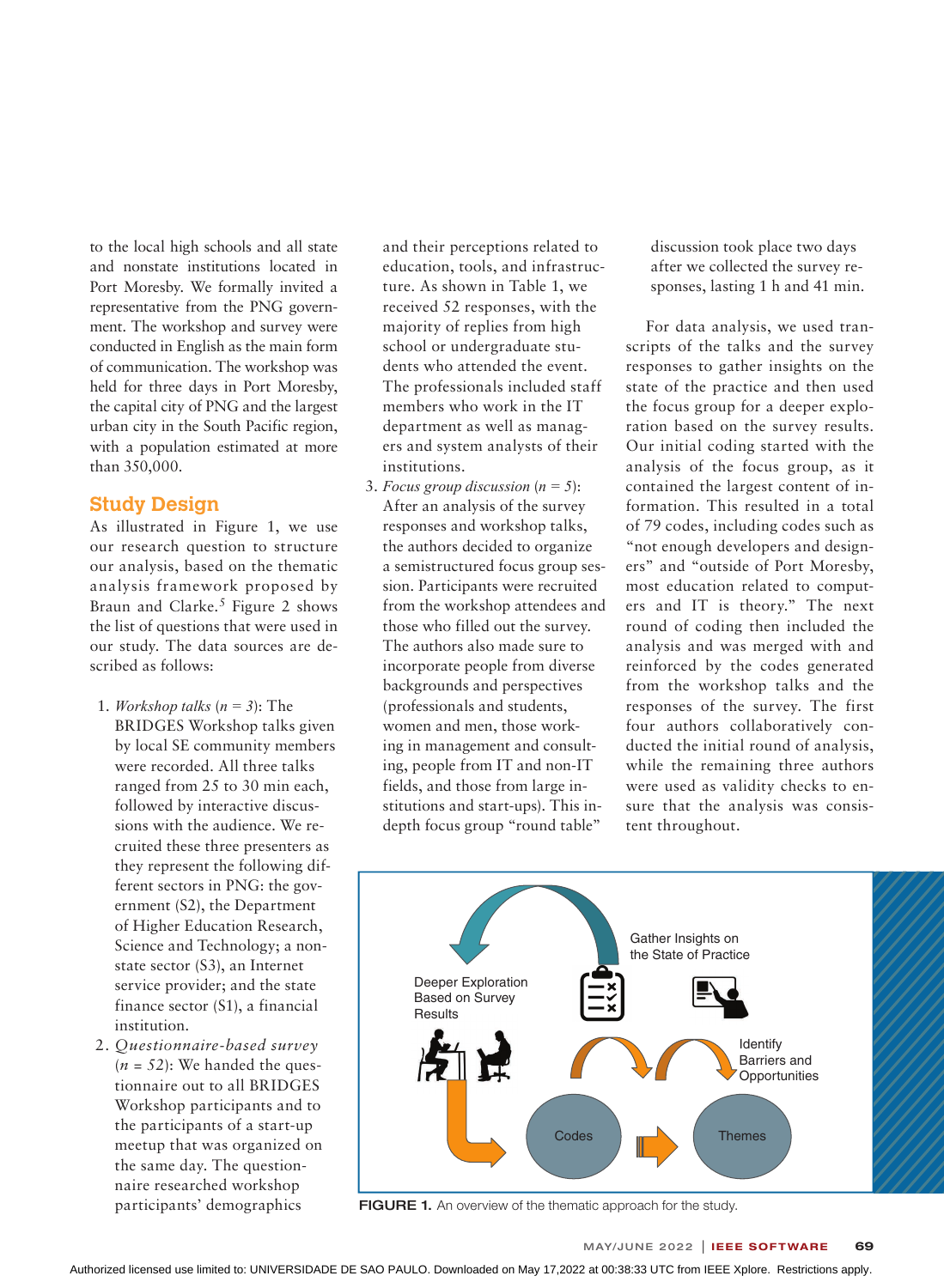to the local high schools and all state and nonstate institutions located in Port Moresby. We formally invited a representative from the PNG government. The workshop and survey were conducted in English as the main form of communication. The workshop was held for three days in Port Moresby, the capital city of PNG and the largest urban city in the South Pacific region, with a population estimated at more than 350,000.

#### **Study Design**

As illustrated in Figure 1, we use our research question to structure our analysis, based on the thematic analysis framework proposed by Braun and Clarke.<sup>5</sup> Figure 2 shows the list of questions that were used in our study. The data sources are described as follows:

- 1. *Workshop talks* (*n = 3*): The BRIDGES Workshop talks given by local SE community members were recorded. All three talks ranged from 25 to 30 min each, followed by interactive discussions with the audience. We recruited these three presenters as they represent the following different sectors in PNG: the government (S2), the Department of Higher Education Research, Science and Technology; a nonstate sector (S3), an Internet service provider; and the state finance sector (S1), a financial institution.
- 2. *Questionnaire-based survey*   $(n = 52)$ : We handed the questionnaire out to all BRIDGES Workshop participants and to the participants of a start-up meetup that was organized on the same day. The questionnaire researched workshop participants' demographics

and their perceptions related to education, tools, and infrastructure. As shown in Table 1, we received 52 responses, with the majority of replies from high school or undergraduate students who attended the event. The professionals included staff members who work in the IT department as well as managers and system analysts of their institutions.

3. *Focus group discussion* (*n = 5*): After an analysis of the survey responses and workshop talks, the authors decided to organize a semistructured focus group session. Participants were recruited from the workshop attendees and those who filled out the survey. The authors also made sure to incorporate people from diverse backgrounds and perspectives (professionals and students, women and men, those working in management and consulting, people from IT and non-IT fields, and those from large institutions and start-ups). This indepth focus group "round table"

discussion took place two days after we collected the survey responses, lasting 1 h and 41 min.

For data analysis, we used transcripts of the talks and the survey responses to gather insights on the state of the practice and then used the focus group for a deeper exploration based on the survey results. Our initial coding started with the analysis of the focus group, as it contained the largest content of information. This resulted in a total of 79 codes, including codes such as "not enough developers and designers" and "outside of Port Moresby, most education related to computers and IT is theory." The next round of coding then included the analysis and was merged with and reinforced by the codes generated from the workshop talks and the responses of the survey. The first four authors collaboratively conducted the initial round of analysis, while the remaining three authors were used as validity checks to ensure that the analysis was consistent throughout.



FIGURE 1. An overview of the thematic approach for the study.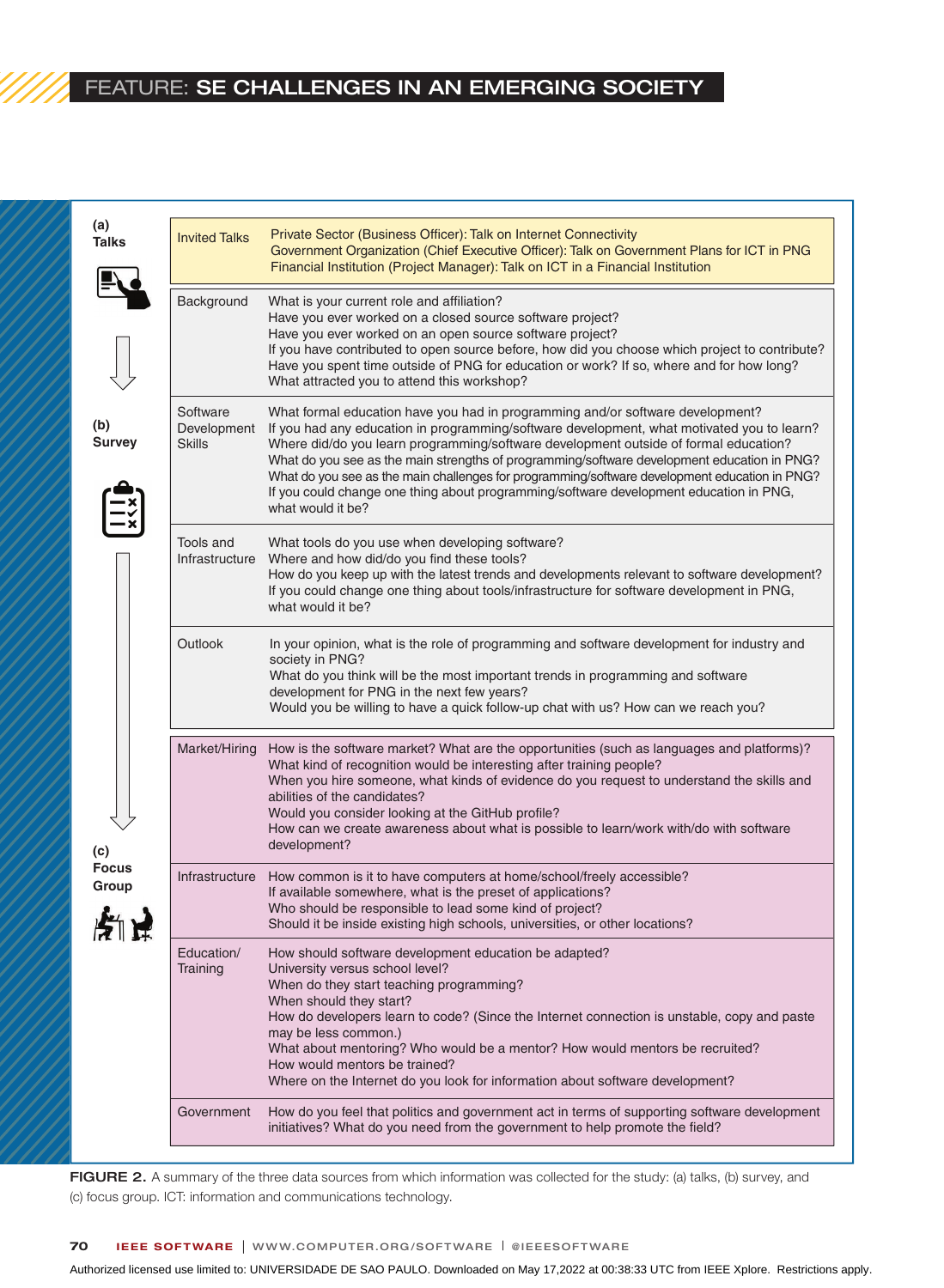# FEATURE: SE CHALLENGES IN AN EMERGING SOCIETY

**(a)**

| (a)<br><b>Talks</b>                                  | <b>Invited Talks</b>                     | Private Sector (Business Officer): Talk on Internet Connectivity<br>Government Organization (Chief Executive Officer): Talk on Government Plans for ICT in PNG<br>Financial Institution (Project Manager): Talk on ICT in a Financial Institution                                                                                                                                                                                                                                                                                                                                   |
|------------------------------------------------------|------------------------------------------|-------------------------------------------------------------------------------------------------------------------------------------------------------------------------------------------------------------------------------------------------------------------------------------------------------------------------------------------------------------------------------------------------------------------------------------------------------------------------------------------------------------------------------------------------------------------------------------|
|                                                      | Background                               | What is your current role and affiliation?<br>Have you ever worked on a closed source software project?<br>Have you ever worked on an open source software project?<br>If you have contributed to open source before, how did you choose which project to contribute?<br>Have you spent time outside of PNG for education or work? If so, where and for how long?<br>What attracted you to attend this workshop?                                                                                                                                                                    |
| (b)<br><b>Survey</b><br>(c)<br><b>Focus</b><br>Group | Software<br>Development<br><b>Skills</b> | What formal education have you had in programming and/or software development?<br>If you had any education in programming/software development, what motivated you to learn?<br>Where did/do you learn programming/software development outside of formal education?<br>What do you see as the main strengths of programming/software development education in PNG?<br>What do you see as the main challenges for programming/software development education in PNG?<br>If you could change one thing about programming/software development education in PNG,<br>what would it be? |
|                                                      | Tools and<br>Infrastructure              | What tools do you use when developing software?<br>Where and how did/do you find these tools?<br>How do you keep up with the latest trends and developments relevant to software development?<br>If you could change one thing about tools/infrastructure for software development in PNG,<br>what would it be?                                                                                                                                                                                                                                                                     |
|                                                      | Outlook                                  | In your opinion, what is the role of programming and software development for industry and<br>society in PNG?<br>What do you think will be the most important trends in programming and software<br>development for PNG in the next few years?<br>Would you be willing to have a quick follow-up chat with us? How can we reach you?                                                                                                                                                                                                                                                |
|                                                      | Market/Hiring                            | How is the software market? What are the opportunities (such as languages and platforms)?<br>What kind of recognition would be interesting after training people?<br>When you hire someone, what kinds of evidence do you request to understand the skills and<br>abilities of the candidates?<br>Would you consider looking at the GitHub profile?<br>How can we create awareness about what is possible to learn/work with/do with software<br>development?                                                                                                                       |
|                                                      | Infrastructure                           | How common is it to have computers at home/school/freely accessible?<br>If available somewhere, what is the preset of applications?<br>Who should be responsible to lead some kind of project?<br>Should it be inside existing high schools, universities, or other locations?                                                                                                                                                                                                                                                                                                      |
|                                                      | Education/<br>Training                   | How should software development education be adapted?<br>University versus school level?<br>When do they start teaching programming?<br>When should they start?<br>How do developers learn to code? (Since the Internet connection is unstable, copy and paste<br>may be less common.)<br>What about mentoring? Who would be a mentor? How would mentors be recruited?<br>How would mentors be trained?<br>Where on the Internet do you look for information about software development?                                                                                            |
|                                                      | Government                               | How do you feel that politics and government act in terms of supporting software development<br>initiatives? What do you need from the government to help promote the field?                                                                                                                                                                                                                                                                                                                                                                                                        |

FIGURE 2. A summary of the three data sources from which information was collected for the study: (a) talks, (b) survey, and (c) focus group. ICT: information and communications technology.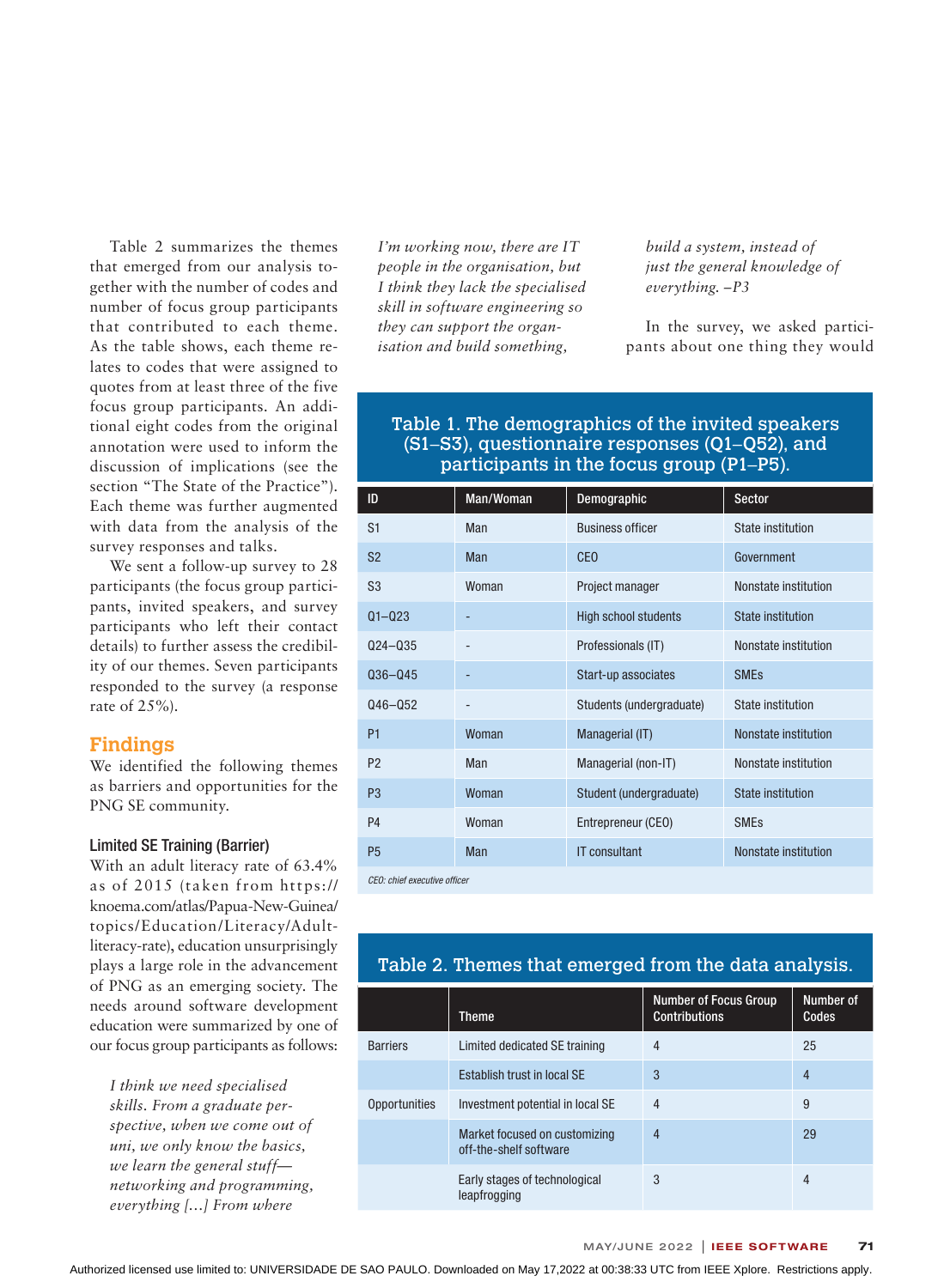Table 2 summarizes the themes that emerged from our analysis together with the number of codes and number of focus group participants that contributed to each theme. As the table shows, each theme relates to codes that were assigned to quotes from at least three of the five focus group participants. An additional eight codes from the original annotation were used to inform the discussion of implications (see the section "The State of the Practice"). Each theme was further augmented with data from the analysis of the survey responses and talks.

We sent a follow-up survey to 28 participants (the focus group participants, invited speakers, and survey participants who left their contact details) to further assess the credibility of our themes. Seven participants responded to the survey (a response rate of 25%).

#### **Findings**

We identified the following themes as barriers and opportunities for the PNG SE community.

#### Limited SE Training (Barrier)

With an adult literacy rate of 63.4% as of 2015 (taken from https:// knoema.com/atlas/Papua-New-Guinea/ topics/Education/Literacy/Adultliteracy-rate), education unsurprisingly plays a large role in the advancement of PNG as an emerging society. The needs around software development education were summarized by one of our focus group participants as follows:

*I think we need specialised skills. From a graduate perspective, when we come out of uni, we only know the basics, we learn the general stuff networking and programming, everything […] From where* 

*I'm working now, there are IT people in the organisation, but I think they lack the specialised skill in software engineering so they can support the organisation and build something,* 

*build a system, instead of just the general knowledge of everything. –P3*

In the survey, we asked participants about one thing they would

## Table 1. The demographics of the invited speakers (S1–S3), questionnaire responses (Q1–Q52), and participants in the focus group (P1–P5).

| ID             | Man/Woman  | Demographic                 | <b>Sector</b>            |  |  |
|----------------|------------|-----------------------------|--------------------------|--|--|
| S <sub>1</sub> | Man        | <b>Business officer</b>     | State institution        |  |  |
| S <sub>2</sub> | <b>Man</b> | CE <sub>0</sub>             | Government               |  |  |
| S <sub>3</sub> | Woman      | Project manager             | Nonstate institution     |  |  |
| $Q1 - Q23$     |            | <b>High school students</b> | <b>State institution</b> |  |  |
| $Q24 - Q35$    |            | Professionals (IT)          | Nonstate institution     |  |  |
| $Q36 - Q45$    |            | Start-up associates         | <b>SMEs</b>              |  |  |
| $Q46 - Q52$    |            | Students (undergraduate)    | State institution        |  |  |
| P <sub>1</sub> | Woman      | Managerial (IT)             | Nonstate institution     |  |  |
| P <sub>2</sub> | Man        | Managerial (non-IT)         | Nonstate institution     |  |  |
| P <sub>3</sub> | Woman      | Student (undergraduate)     | <b>State institution</b> |  |  |
| <b>P4</b>      | Woman      | Entrepreneur (CEO)          | <b>SMEs</b>              |  |  |
| P <sub>5</sub> | Man        | <b>IT consultant</b>        | Nonstate institution     |  |  |
|                |            |                             |                          |  |  |

*CEO: chief executive officer*

## Table 2. Themes that emerged from the data analysis.

|                 | Theme                                                   | <b>Number of Focus Group</b><br><b>Contributions</b> | Number of<br>Codes |
|-----------------|---------------------------------------------------------|------------------------------------------------------|--------------------|
| <b>Barriers</b> | Limited dedicated SE training                           | 4                                                    | 25                 |
|                 | Establish trust in local SE                             | 3                                                    | $\overline{4}$     |
| Opportunities   | Investment potential in local SE                        | 4                                                    | 9                  |
|                 | Market focused on customizing<br>off-the-shelf software | 4                                                    | 29                 |
|                 | Early stages of technological<br>leapfrogging           | 3                                                    | 4                  |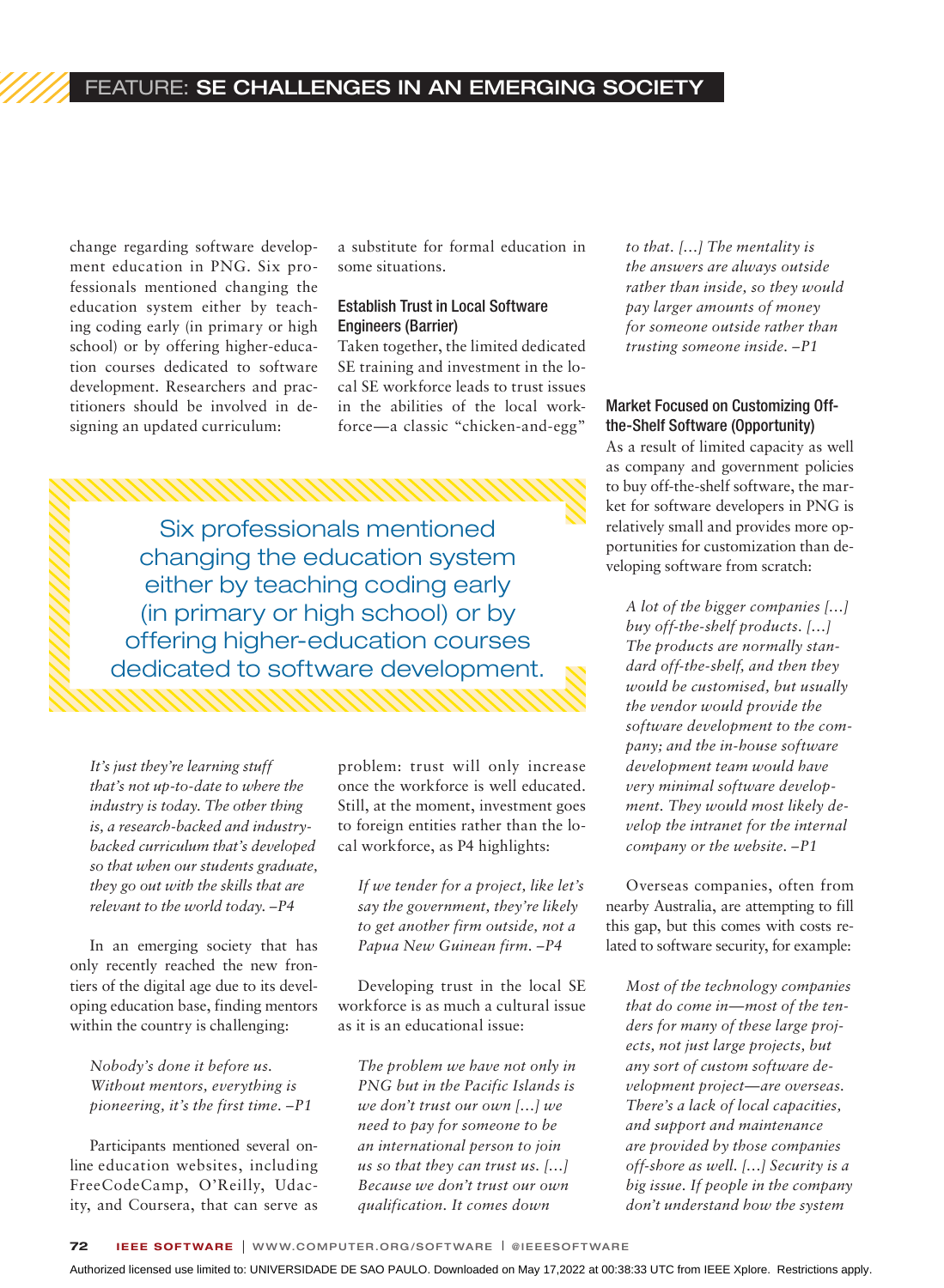# FEATURE: SE CHALLENGES IN AN EMERGING SOCIETY

change regarding software development education in PNG. Six professionals mentioned changing the education system either by teaching coding early (in primary or high school) or by offering higher-education courses dedicated to software development. Researchers and practitioners should be involved in designing an updated curriculum:

a substitute for formal education in some situations.

#### Establish Trust in Local Software Engineers (Barrier)

Taken together, the limited dedicated SE training and investment in the local SE workforce leads to trust issues in the abilities of the local workforce—a classic "chicken-and-egg"

Six professionals mentioned changing the education system either by teaching coding early (in primary or high school) or by offering higher-education courses dedicated to software development.

*It's just they're learning stuff that's not up-to-date to where the industry is today. The other thing is, a research-backed and industrybacked curriculum that's developed so that when our students graduate, they go out with the skills that are relevant to the world today. –P4*

In an emerging society that has only recently reached the new frontiers of the digital age due to its developing education base, finding mentors within the country is challenging:

*Nobody's done it before us. Without mentors, everything is pioneering, it's the first time. –P1*

Participants mentioned several online education websites, including FreeCodeCamp, O'Reilly, Udacity, and Coursera, that can serve as problem: trust will only increase once the workforce is well educated. Still, at the moment, investment goes to foreign entities rather than the local workforce, as P4 highlights:

*If we tender for a project, like let's say the government, they're likely to get another firm outside, not a Papua New Guinean firm. –P4*

Developing trust in the local SE workforce is as much a cultural issue as it is an educational issue:

*The problem we have not only in PNG but in the Pacific Islands is we don't trust our own […] we need to pay for someone to be an international person to join us so that they can trust us. […] Because we don't trust our own qualification. It comes down* 

*to that. […] The mentality is the answers are always outside rather than inside, so they would pay larger amounts of money for someone outside rather than trusting someone inside. –P1*

#### Market Focused on Customizing Offthe-Shelf Software (Opportunity)

As a result of limited capacity as well as company and government policies to buy off-the-shelf software, the market for software developers in PNG is relatively small and provides more opportunities for customization than developing software from scratch:

*A lot of the bigger companies […] buy off-the-shelf products. […] The products are normally standard off-the-shelf, and then they would be customised, but usually the vendor would provide the software development to the company; and the in-house software development team would have very minimal software development. They would most likely develop the intranet for the internal company or the website. –P1*

Overseas companies, often from nearby Australia, are attempting to fill this gap, but this comes with costs related to software security, for example:

*Most of the technology companies that do come in—most of the tenders for many of these large projects, not just large projects, but any sort of custom software development project—are overseas. There's a lack of local capacities, and support and maintenance are provided by those companies off-shore as well. […] Security is a big issue. If people in the company don't understand how the system*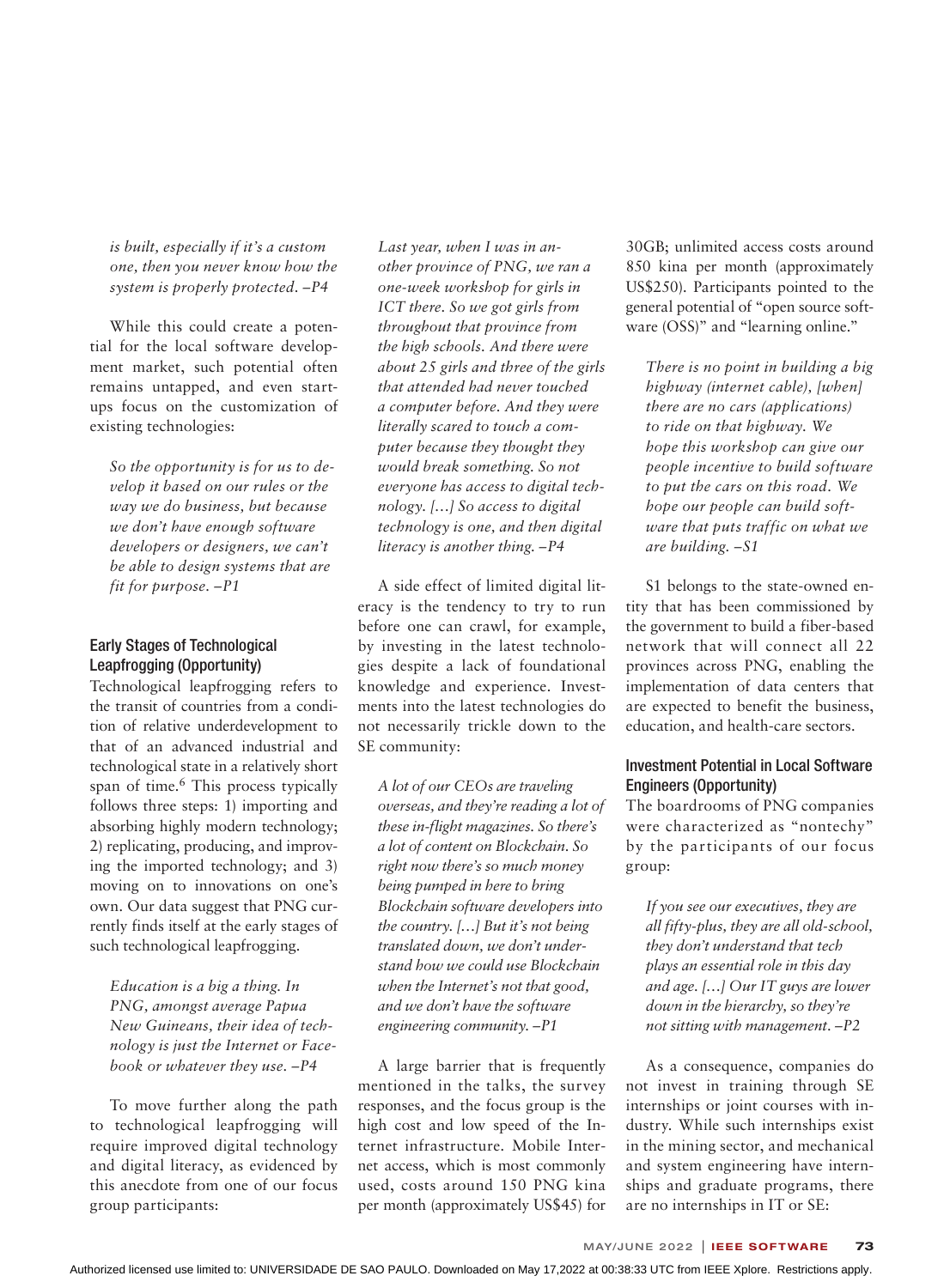*is built, especially if it's a custom one, then you never know how the system is properly protected. –P4*

While this could create a potential for the local software development market, such potential often remains untapped, and even startups focus on the customization of existing technologies:

*So the opportunity is for us to develop it based on our rules or the way we do business, but because we don't have enough software developers or designers, we can't be able to design systems that are fit for purpose. –P1*

### Early Stages of Technological Leapfrogging (Opportunity)

Technological leapfrogging refers to the transit of countries from a condition of relative underdevelopment to that of an advanced industrial and technological state in a relatively short span of time.<sup>6</sup> This process typically follows three steps: 1) importing and absorbing highly modern technology; 2) replicating, producing, and improving the imported technology; and 3) moving on to innovations on one's own. Our data suggest that PNG currently finds itself at the early stages of such technological leapfrogging.

*Education is a big a thing. In PNG, amongst average Papua New Guineans, their idea of technology is just the Internet or Facebook or whatever they use. –P4*

To move further along the path to technological leapfrogging will require improved digital technology and digital literacy, as evidenced by this anecdote from one of our focus group participants:

*Last year, when I was in another province of PNG, we ran a one-week workshop for girls in ICT there. So we got girls from throughout that province from the high schools. And there were about 25 girls and three of the girls that attended had never touched a computer before. And they were literally scared to touch a computer because they thought they would break something. So not everyone has access to digital technology. […] So access to digital technology is one, and then digital literacy is another thing. –P4*

A side effect of limited digital literacy is the tendency to try to run before one can crawl, for example, by investing in the latest technologies despite a lack of foundational knowledge and experience. Investments into the latest technologies do not necessarily trickle down to the SE community:

*A lot of our CEOs are traveling overseas, and they're reading a lot of these in-flight magazines. So there's a lot of content on Blockchain. So right now there's so much money being pumped in here to bring Blockchain software developers into the country. […] But it's not being translated down, we don't understand how we could use Blockchain when the Internet's not that good, and we don't have the software engineering community. –P1*

A large barrier that is frequently mentioned in the talks, the survey responses, and the focus group is the high cost and low speed of the Internet infrastructure. Mobile Internet access, which is most commonly used, costs around 150 PNG kina per month (approximately US\$45) for

30GB; unlimited access costs around 850 kina per month (approximately US\$250). Participants pointed to the general potential of "open source software (OSS)" and "learning online."

*There is no point in building a big highway (internet cable), [when] there are no cars (applications) to ride on that highway. We hope this workshop can give our people incentive to build software to put the cars on this road. We hope our people can build software that puts traffic on what we are building. –S1*

S1 belongs to the state-owned entity that has been commissioned by the government to build a fiber-based network that will connect all 22 provinces across PNG, enabling the implementation of data centers that are expected to benefit the business, education, and health-care sectors.

#### Investment Potential in Local Software Engineers (Opportunity)

The boardrooms of PNG companies were characterized as "nontechy" by the participants of our focus group:

*If you see our executives, they are all fifty-plus, they are all old-school, they don't understand that tech plays an essential role in this day and age. […] Our IT guys are lower down in the hierarchy, so they're not sitting with management. –P2*

As a consequence, companies do not invest in training through SE internships or joint courses with industry. While such internships exist in the mining sector, and mechanical and system engineering have internships and graduate programs, there are no internships in IT or SE: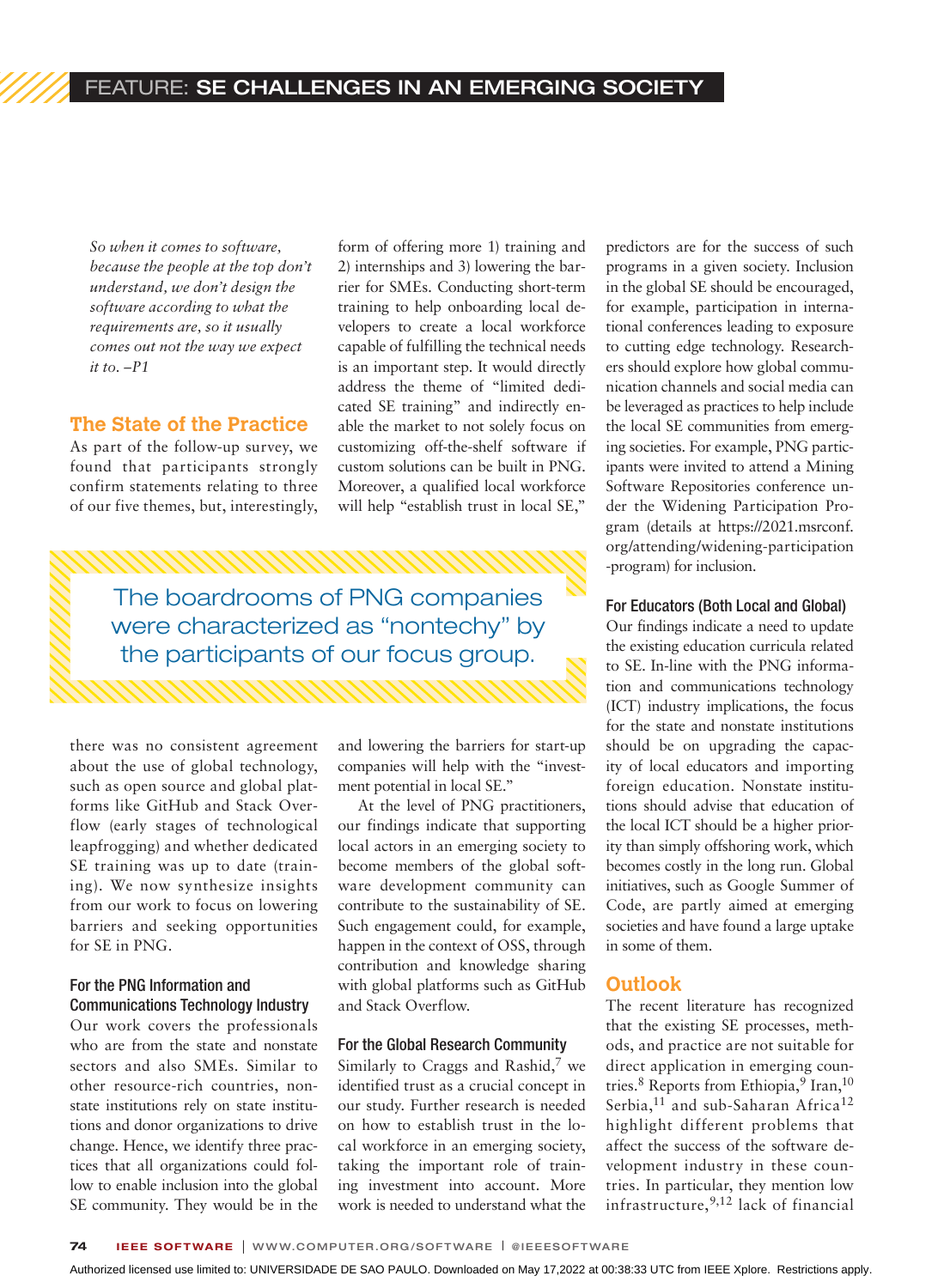*So when it comes to software, because the people at the top don't understand, we don't design the software according to what the requirements are, so it usually comes out not the way we expect it to. –P1*

#### **The State of the Practice**

As part of the follow-up survey, we found that participants strongly confirm statements relating to three of our five themes, but, interestingly, form of offering more 1) training and 2) internships and 3) lowering the barrier for SMEs. Conducting short-term training to help onboarding local developers to create a local workforce capable of fulfilling the technical needs is an important step. It would directly address the theme of "limited dedicated SE training" and indirectly enable the market to not solely focus on customizing off-the-shelf software if custom solutions can be built in PNG. Moreover, a qualified local workforce will help "establish trust in local SE,"

The boardrooms of PNG companies were characterized as "nontechy" by the participants of our focus group.

there was no consistent agreement about the use of global technology, such as open source and global platforms like GitHub and Stack Overflow (early stages of technological leapfrogging) and whether dedicated SE training was up to date (training). We now synthesize insights from our work to focus on lowering barriers and seeking opportunities for SE in PNG.

#### For the PNG Information and Communications Technology Industry

Our work covers the professionals who are from the state and nonstate sectors and also SMEs. Similar to other resource-rich countries, nonstate institutions rely on state institutions and donor organizations to drive change. Hence, we identify three practices that all organizations could follow to enable inclusion into the global SE community. They would be in the

and lowering the barriers for start-up companies will help with the "investment potential in local SE."

At the level of PNG practitioners, our findings indicate that supporting local actors in an emerging society to become members of the global software development community can contribute to the sustainability of SE. Such engagement could, for example, happen in the context of OSS, through contribution and knowledge sharing with global platforms such as GitHub and Stack Overflow.

#### For the Global Research Community

Similarly to Craggs and Rashid, $7$  we identified trust as a crucial concept in our study. Further research is needed on how to establish trust in the local workforce in an emerging society, taking the important role of training investment into account. More work is needed to understand what the predictors are for the success of such programs in a given society. Inclusion in the global SE should be encouraged, for example, participation in international conferences leading to exposure to cutting edge technology. Researchers should explore how global communication channels and social media can be leveraged as practices to help include the local SE communities from emerging societies. For example, PNG participants were invited to attend a Mining Software Repositories conference under the Widening Participation Program (details at https://2021.msrconf. org/attending/widening-participation -program) for inclusion.

#### For Educators (Both Local and Global)

Our findings indicate a need to update the existing education curricula related to SE. In-line with the PNG information and communications technology (ICT) industry implications, the focus for the state and nonstate institutions should be on upgrading the capacity of local educators and importing foreign education. Nonstate institutions should advise that education of the local ICT should be a higher priority than simply offshoring work, which becomes costly in the long run. Global initiatives, such as Google Summer of Code, are partly aimed at emerging societies and have found a large uptake in some of them.

#### **Outlook**

The recent literature has recognized that the existing SE processes, methods, and practice are not suitable for direct application in emerging countries.<sup>8</sup> Reports from Ethiopia,<sup>9</sup> Iran,<sup>10</sup> Serbia,<sup>11</sup> and sub-Saharan Africa<sup>12</sup> highlight different problems that affect the success of the software development industry in these countries. In particular, they mention low infrastructure,9,12 lack of financial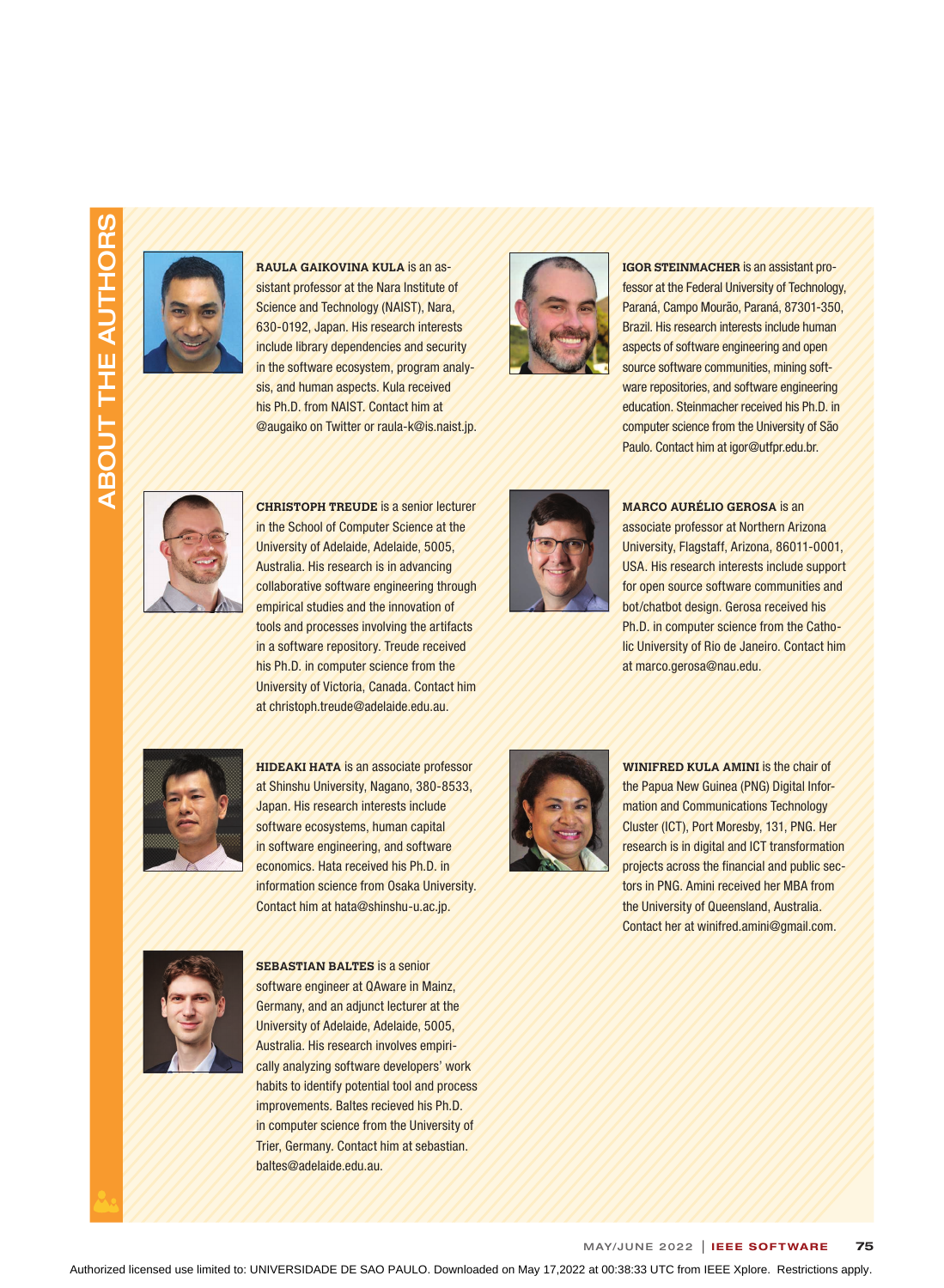# ABOUT THE AUTHORS ABOUT THE AUTHORS



**RAULA GAIKOVINA KULA** is an assistant professor at the Nara Institute of Science and Technology (NAIST), Nara, 630-0192, Japan. His research interests include library dependencies and security in the software ecosystem, program analysis, and human aspects. Kula received his Ph.D. from NAIST. Contact him at @augaiko on Twitter or raula-k@is.naist.jp.



**IGOR STEINMACHER** is an assistant professor at the Federal University of Technology, Paraná, Campo Mourão, Paraná, 87301-350, Brazil. His research interests include human aspects of software engineering and open source software communities, mining software repositories, and software engineering education. Steinmacher received his Ph.D. in computer science from the University of São Paulo. Contact him at igor@utfpr.edu.br.



**CHRISTOPH TREUDE** is a senior lecturer in the School of Computer Science at the University of Adelaide, Adelaide, 5005, Australia. His research is in advancing collaborative software engineering through empirical studies and the innovation of tools and processes involving the artifacts in a software repository. Treude received his Ph.D. in computer science from the University of Victoria, Canada. Contact him at christoph.treude@adelaide.edu.au.



**MARCO AURÉLIO GEROSA** is an associate professor at Northern Arizona University, Flagstaff, Arizona, 86011-0001, USA. His research interests include support for open source software communities and bot/chatbot design. Gerosa received his Ph.D. in computer science from the Catholic University of Rio de Janeiro. Contact him at marco.gerosa@nau.edu.



**HIDEAKI HATA** is an associate professor at Shinshu University, Nagano, 380-8533, Japan. His research interests include software ecosystems, human capital in software engineering, and software economics. Hata received his Ph.D. in information science from Osaka University. Contact him at hata@shinshu-u.ac.jp.



**WINIFRED KULA AMINI** is the chair of the Papua New Guinea (PNG) Digital Information and Communications Technology Cluster (ICT), Port Moresby, 131, PNG. Her research is in digital and ICT transformation projects across the financial and public sectors in PNG. Amini received her MBA from the University of Queensland, Australia. Contact her at winifred.amini@gmail.com.



**SEBASTIAN BALTES** is a senior software engineer at QAware in Mainz, Germany, and an adjunct lecturer at the University of Adelaide, Adelaide, 5005, Australia. His research involves empirically analyzing software developers' work habits to identify potential tool and process improvements. Baltes recieved his Ph.D. in computer science from the University of Trier, Germany. Contact him at sebastian. baltes@adelaide.edu.au.

MAY/JUNE 2022 | IEEE SOFTWARE 75